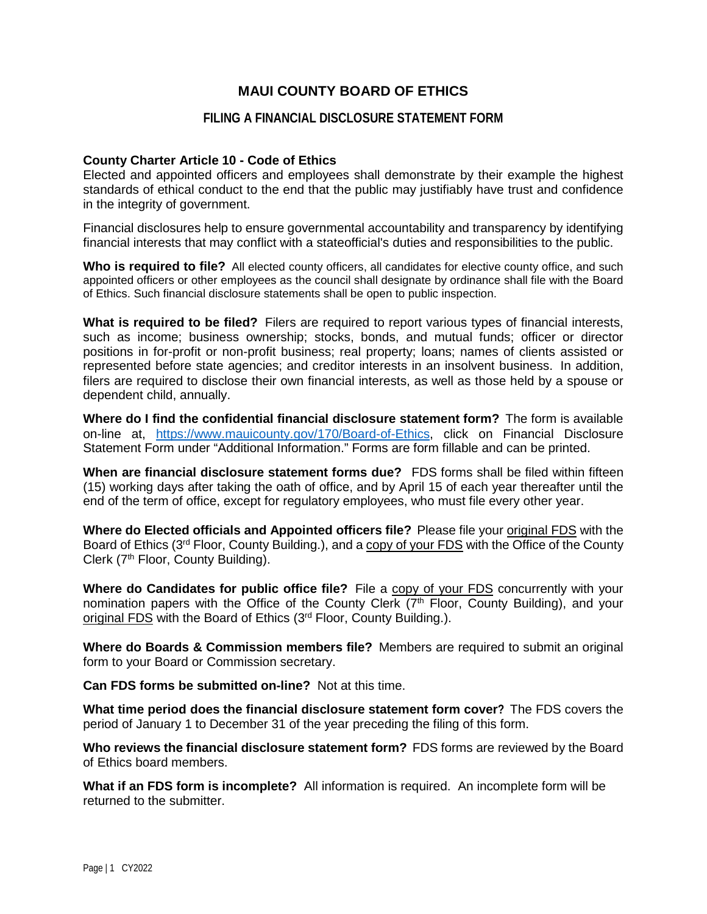# **MAUI COUNTY BOARD OF ETHICS**

## **FILING A FINANCIAL DISCLOSURE STATEMENT FORM**

## **County Charter Article 10 - Code of Ethics**

Elected and appointed officers and employees shall demonstrate by their example the highest standards of ethical conduct to the end that the public may justifiably have trust and confidence in the integrity of government.

Financial disclosures help to ensure governmental accountability and transparency by identifying financial interests that may conflict with a stateofficial's duties and responsibilities to the public.

**Who is required to file?** All elected county officers, all candidates for elective county office, and such appointed officers or other employees as the council shall designate by ordinance shall file with the Board of Ethics. Such financial disclosure statements shall be open to public inspection.

**What is required to be filed?** Filers are required to report various types of financial interests, such as income; business ownership; stocks, bonds, and mutual funds; officer or director positions in for-profit or non-profit business; real property; loans; names of clients assisted or represented before state agencies; and creditor interests in an insolvent business.In addition, filers are required to disclose their own financial interests, as well as those held by a spouse or dependent child, annually.

**Where do I find the confidential financial disclosure statement form?** The form is available on-line at, [https://www.mauicounty.gov/170/Board-of-Ethics,](https://www.mauicounty.gov/170/Board-of-Ethics) click on Financial Disclosure Statement Form under "Additional Information." Forms are form fillable and can be printed.

**When are financial disclosure statement forms due?** FDS forms shall be filed within fifteen (15) working days after taking the oath of office, and by April 15 of each year thereafter until the end of the term of office, except for regulatory employees, who must file every other year.

**Where do Elected officials and Appointed officers file?** Please file your original FDS with the Board of Ethics (3<sup>rd</sup> Floor, County Building.), and a copy of your FDS with the Office of the County Clerk (7<sup>th</sup> Floor, County Building).

**Where do Candidates for public office file?** File a copy of your FDS concurrently with your nomination papers with the Office of the County Clerk  $(7<sup>th</sup>$  Floor, County Building), and your original FDS with the Board of Ethics (3<sup>rd</sup> Floor, County Building.).

**Where do Boards & Commission members file?** Members are required to submit an original form to your Board or Commission secretary.

**Can FDS forms be submitted on-line?** Not at this time.

**What time period does the financial disclosure statement form cover?** The FDS covers the period of January 1 to December 31 of the year preceding the filing of this form.

**Who reviews the financial disclosure statement form?** FDS forms are reviewed by the Board of Ethics board members.

**What if an FDS form is incomplete?** All information is required. An incomplete form will be returned to the submitter.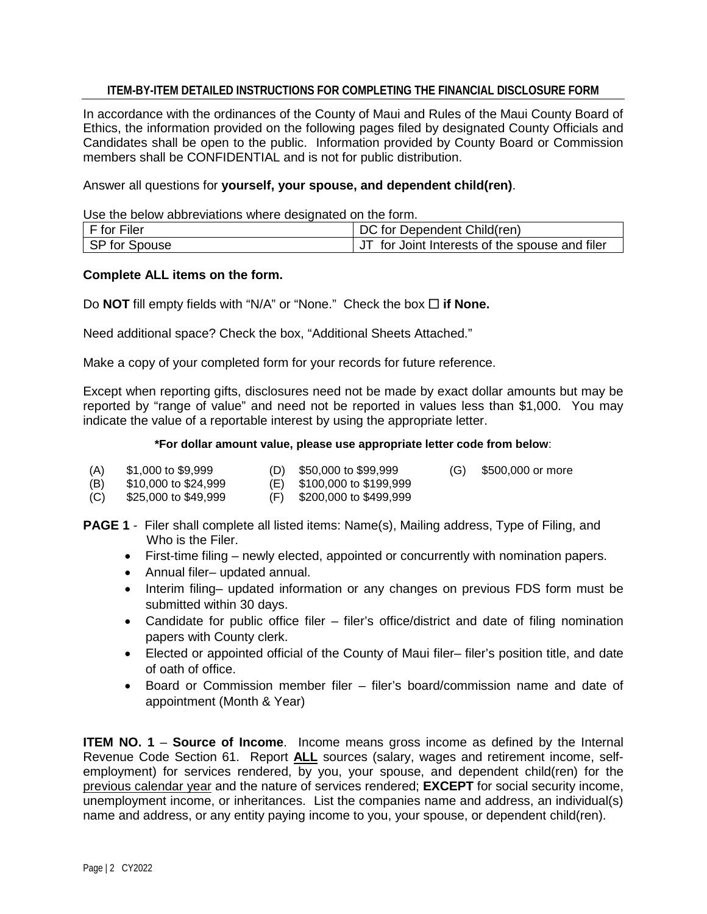## **ITEM-BY-ITEM DETAILED INSTRUCTIONS FOR COMPLETING THE FINANCIAL DISCLOSURE FORM**

In accordance with the ordinances of the County of Maui and Rules of the Maui County Board of Ethics, the information provided on the following pages filed by designated County Officials and Candidates shall be open to the public. Information provided by County Board or Commission members shall be CONFIDENTIAL and is not for public distribution.

Answer all questions for **yourself, your spouse, and dependent child(ren)**.

Use the below abbreviations where designated on the form.

| $F$ for Filer | DC for Dependent Child(ren)                    |
|---------------|------------------------------------------------|
| SP for Spouse | JT for Joint Interests of the spouse and filer |

## **Complete ALL items on the form.**

Do **NOT** fill empty fields with "N/A" or "None." Check the box □ if None.

Need additional space? Check the box, "Additional Sheets Attached."

Make a copy of your completed form for your records for future reference.

Except when reporting gifts, disclosures need not be made by exact dollar amounts but may be reported by "range of value" and need not be reported in values less than \$1,000. You may indicate the value of a reportable interest by using the appropriate letter.

#### **\*For dollar amount value, please use appropriate letter code from below**:

- (A) \$1,000 to \$9,999 (D) \$50,000 to \$99,999 (G) \$500,000 or more
- (B) \$10,000 to \$24,999 (E) \$100,000 to \$199,999
- (C) \$25,000 to \$49,999 (F) \$200,000 to \$499,999
- **PAGE 1** Filer shall complete all listed items: Name(s), Mailing address, Type of Filing, and Who is the Filer.
	- First-time filing newly elected, appointed or concurrently with nomination papers.
	- Annual filer– updated annual.
	- Interim filing– updated information or any changes on previous FDS form must be submitted within 30 days.
	- Candidate for public office filer filer's office/district and date of filing nomination papers with County clerk.
	- Elected or appointed official of the County of Maui filer– filer's position title, and date of oath of office.
	- Board or Commission member filer filer's board/commission name and date of appointment (Month & Year)

**ITEM NO. 1 – Source of Income.** Income means gross income as defined by the Internal Revenue Code Section 61. Report **ALL** sources (salary, wages and retirement income, selfemployment) for services rendered, by you, your spouse, and dependent child(ren) for the previous calendar year and the nature of services rendered; **EXCEPT** for social security income, unemployment income, or inheritances. List the companies name and address, an individual(s) name and address, or any entity paying income to you, your spouse, or dependent child(ren).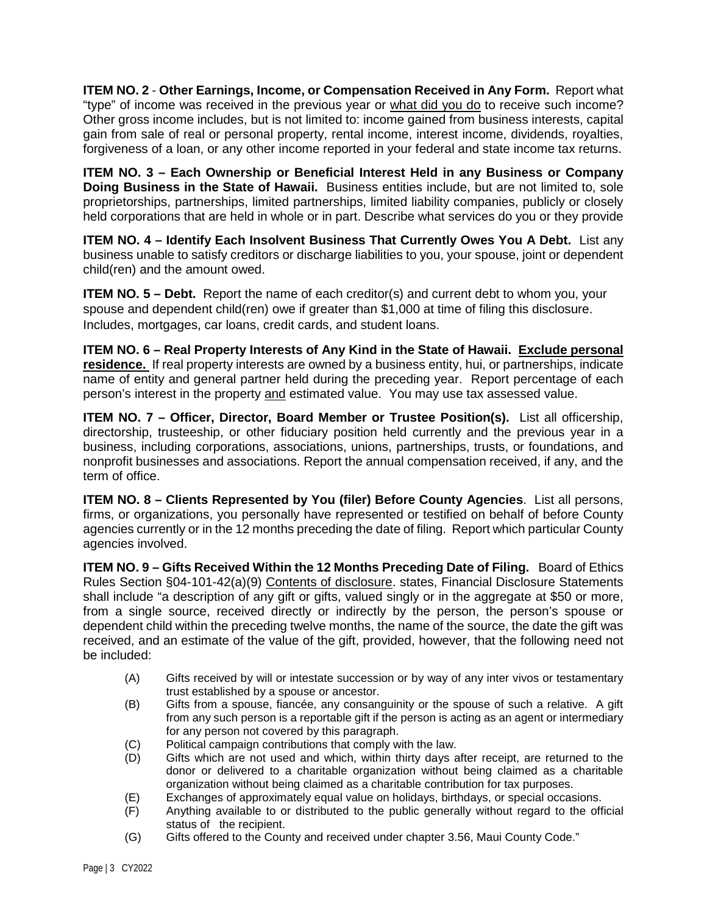**ITEM NO. 2** - **Other Earnings, Income, or Compensation Received in Any Form.** Report what "type" of income was received in the previous year or what did you do to receive such income? Other gross income includes, but is not limited to: income gained from business interests, capital gain from sale of real or personal property, rental income, interest income, dividends, royalties, forgiveness of a loan, or any other income reported in your federal and state income tax returns.

**ITEM NO. 3 – Each Ownership or Beneficial Interest Held in any Business or Company Doing Business in the State of Hawaii.** Business entities include, but are not limited to, sole proprietorships, partnerships, limited partnerships, limited liability companies, publicly or closely held corporations that are held in whole or in part. Describe what services do you or they provide

**ITEM NO. 4 – Identify Each Insolvent Business That Currently Owes You A Debt.** List any business unable to satisfy creditors or discharge liabilities to you, your spouse, joint or dependent child(ren) and the amount owed.

**ITEM NO. 5 – Debt.** Report the name of each creditor(s) and current debt to whom you, your spouse and dependent child(ren) owe if greater than \$1,000 at time of filing this disclosure. Includes, mortgages, car loans, credit cards, and student loans.

**ITEM NO. 6 – Real Property Interests of Any Kind in the State of Hawaii. Exclude personal residence.** If real property interests are owned by a business entity, hui, or partnerships, indicate name of entity and general partner held during the preceding year. Report percentage of each person's interest in the property and estimated value. You may use tax assessed value.

**ITEM NO. 7 – Officer, Director, Board Member or Trustee Position(s).** List all officership, directorship, trusteeship, or other fiduciary position held currently and the previous year in a business, including corporations, associations, unions, partnerships, trusts, or foundations, and nonprofit businesses and associations. Report the annual compensation received, if any, and the term of office.

**ITEM NO. 8 – Clients Represented by You (filer) Before County Agencies**. List all persons, firms, or organizations, you personally have represented or testified on behalf of before County agencies currently or in the 12 months preceding the date of filing. Report which particular County agencies involved.

**ITEM NO. 9 – Gifts Received Within the 12 Months Preceding Date of Filing.** Board of Ethics Rules Section §04-101-42(a)(9) Contents of disclosure. states, Financial Disclosure Statements shall include "a description of any gift or gifts, valued singly or in the aggregate at \$50 or more, from a single source, received directly or indirectly by the person, the person's spouse or dependent child within the preceding twelve months, the name of the source, the date the gift was received, and an estimate of the value of the gift, provided, however, that the following need not be included:

- (A) Gifts received by will or intestate succession or by way of any inter vivos or testamentary trust established by a spouse or ancestor.
- (B) Gifts from a spouse, fiancée, any consanguinity or the spouse of such a relative. A gift from any such person is a reportable gift if the person is acting as an agent or intermediary for any person not covered by this paragraph.
- (C) Political campaign contributions that comply with the law.
- (D) Gifts which are not used and which, within thirty days after receipt, are returned to the donor or delivered to a charitable organization without being claimed as a charitable organization without being claimed as a charitable contribution for tax purposes.
- (E) Exchanges of approximately equal value on holidays, birthdays, or special occasions.
- (F) Anything available to or distributed to the public generally without regard to the official status of the recipient.
- (G) Gifts offered to the County and received under chapter 3.56, Maui County Code."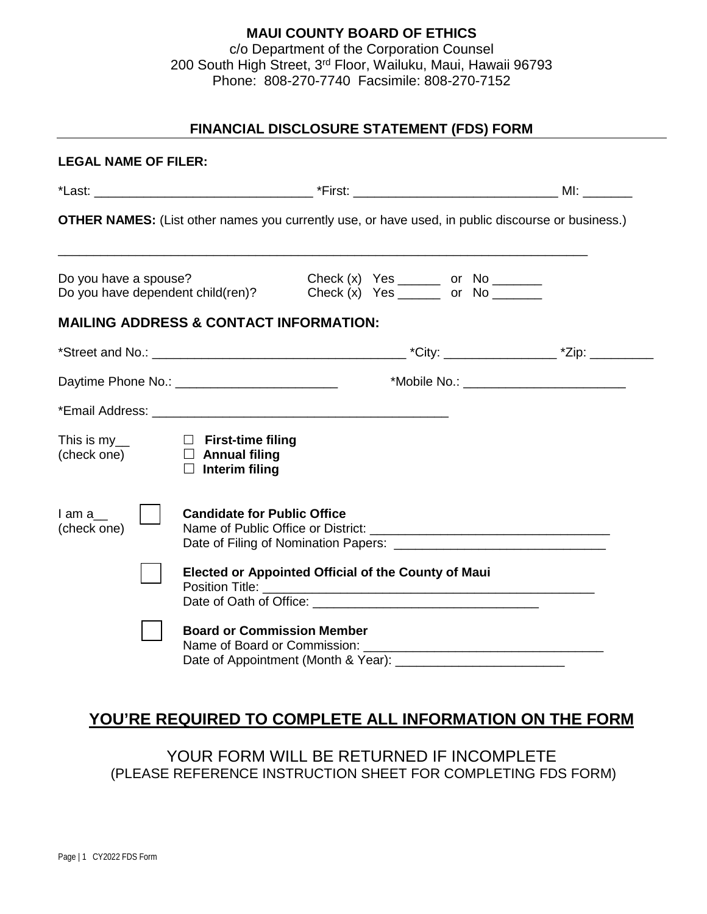# **MAUI COUNTY BOARD OF ETHICS** c/o Department of the Corporation Counsel 200 South High Street, 3rd Floor, Wailuku, Maui, Hawaii 96793 Phone: 808-270-7740 Facsimile: 808-270-7152

# **FINANCIAL DISCLOSURE STATEMENT (FDS) FORM**

| <b>LEGAL NAME OF FILER:</b> |                                                                                                                  |                                                                                                                                     |                                             |
|-----------------------------|------------------------------------------------------------------------------------------------------------------|-------------------------------------------------------------------------------------------------------------------------------------|---------------------------------------------|
|                             |                                                                                                                  |                                                                                                                                     |                                             |
|                             |                                                                                                                  | <b>OTHER NAMES:</b> (List other names you currently use, or have used, in public discourse or business.)                            |                                             |
| Do you have a spouse?       | Do you have dependent child(ren)?                                                                                | Check $(x)$ Yes _______ or No _______<br>Check $(x)$ Yes ________ or No _______                                                     |                                             |
|                             | <b>MAILING ADDRESS &amp; CONTACT INFORMATION:</b>                                                                |                                                                                                                                     |                                             |
|                             |                                                                                                                  |                                                                                                                                     |                                             |
|                             |                                                                                                                  |                                                                                                                                     | *Mobile No.: ______________________________ |
|                             |                                                                                                                  |                                                                                                                                     |                                             |
|                             | This is $my$ <sub>__</sub> $\Box$ First-time filing<br>(check one) $\Box$ Annual filing<br>$\Box$ Interim filing |                                                                                                                                     |                                             |
| lama<br>(check one)         | <b>Candidate for Public Office</b>                                                                               |                                                                                                                                     |                                             |
|                             |                                                                                                                  | <b>Elected or Appointed Official of the County of Maui</b><br>Date of Oath of Office: <u>contained</u> and a set of Oath of Office: |                                             |
|                             | <b>Board or Commission Member</b>                                                                                |                                                                                                                                     |                                             |

# **YOU'RE REQUIRED TO COMPLETE ALL INFORMATION ON THE FORM**

YOUR FORM WILL BE RETURNED IF INCOMPLETE (PLEASE REFERENCE INSTRUCTION SHEET FOR COMPLETING FDS FORM)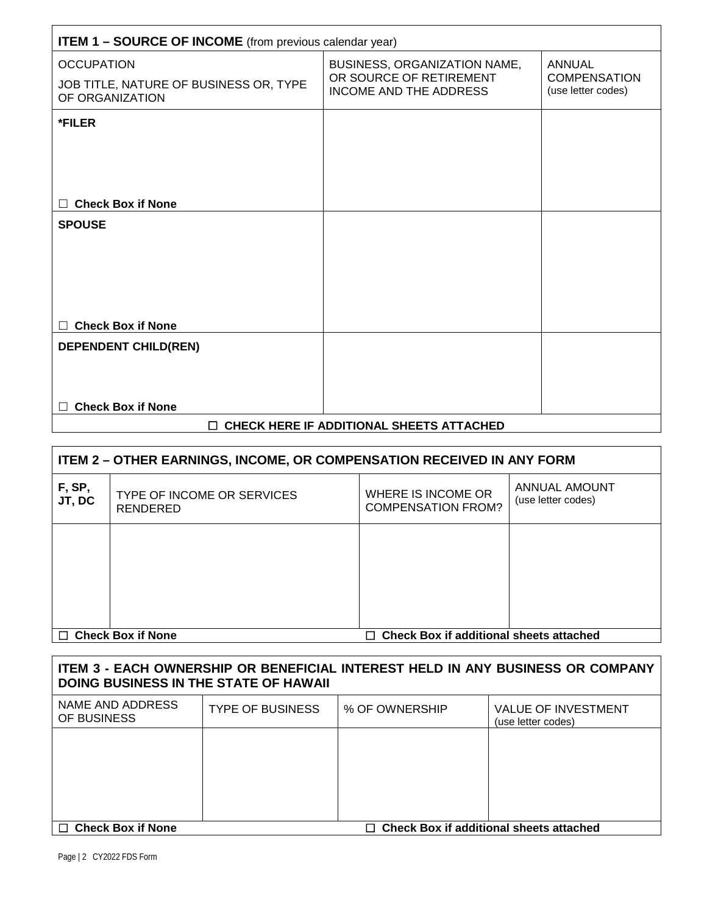| <b>ITEM 1 - SOURCE OF INCOME</b> (from previous calendar year)                 |                                                                                          |                                                            |  |  |
|--------------------------------------------------------------------------------|------------------------------------------------------------------------------------------|------------------------------------------------------------|--|--|
| <b>OCCUPATION</b><br>JOB TITLE, NATURE OF BUSINESS OR, TYPE<br>OF ORGANIZATION | BUSINESS, ORGANIZATION NAME,<br>OR SOURCE OF RETIREMENT<br><b>INCOME AND THE ADDRESS</b> | <b>ANNUAL</b><br><b>COMPENSATION</b><br>(use letter codes) |  |  |
| *FILER                                                                         |                                                                                          |                                                            |  |  |
|                                                                                |                                                                                          |                                                            |  |  |
|                                                                                |                                                                                          |                                                            |  |  |
| <b>Check Box if None</b><br>$\Box$                                             |                                                                                          |                                                            |  |  |
| <b>SPOUSE</b>                                                                  |                                                                                          |                                                            |  |  |
|                                                                                |                                                                                          |                                                            |  |  |
|                                                                                |                                                                                          |                                                            |  |  |
|                                                                                |                                                                                          |                                                            |  |  |
|                                                                                |                                                                                          |                                                            |  |  |
| <b>Check Box if None</b><br>П                                                  |                                                                                          |                                                            |  |  |
| <b>DEPENDENT CHILD(REN)</b>                                                    |                                                                                          |                                                            |  |  |
|                                                                                |                                                                                          |                                                            |  |  |
|                                                                                |                                                                                          |                                                            |  |  |
| <b>Check Box if None</b>                                                       |                                                                                          |                                                            |  |  |
|                                                                                |                                                                                          |                                                            |  |  |

# **CHECK HERE IF ADDITIONAL SHEETS ATTACHED**

| ITEM 2 – OTHER EARNINGS, INCOME, OR COMPENSATION RECEIVED IN ANY FORM      |                                               |                                                 |                                     |  |
|----------------------------------------------------------------------------|-----------------------------------------------|-------------------------------------------------|-------------------------------------|--|
| F, SP,<br>JT, DC                                                           | TYPE OF INCOME OR SERVICES<br><b>RENDERED</b> | WHERE IS INCOME OR<br><b>COMPENSATION FROM?</b> | ANNUAL AMOUNT<br>(use letter codes) |  |
|                                                                            |                                               |                                                 |                                     |  |
| $\Box$ Check Box if None<br><b>Check Box if additional sheets attached</b> |                                               |                                                 |                                     |  |

| ITEM 3 - EACH OWNERSHIP OR BENEFICIAL INTEREST HELD IN ANY BUSINESS OR COMPANY<br><b>DOING BUSINESS IN THE STATE OF HAWAII</b> |                         |                |                                                  |  |
|--------------------------------------------------------------------------------------------------------------------------------|-------------------------|----------------|--------------------------------------------------|--|
| NAME AND ADDRESS<br>OF BUSINESS                                                                                                | <b>TYPE OF BUSINESS</b> | % OF OWNERSHIP | <b>VALUE OF INVESTMENT</b><br>(use letter codes) |  |
|                                                                                                                                |                         |                |                                                  |  |
|                                                                                                                                |                         |                |                                                  |  |
|                                                                                                                                |                         |                |                                                  |  |
| $\Box$ Check Box if None                                                                                                       |                         |                | <b>Check Box if additional sheets attached</b>   |  |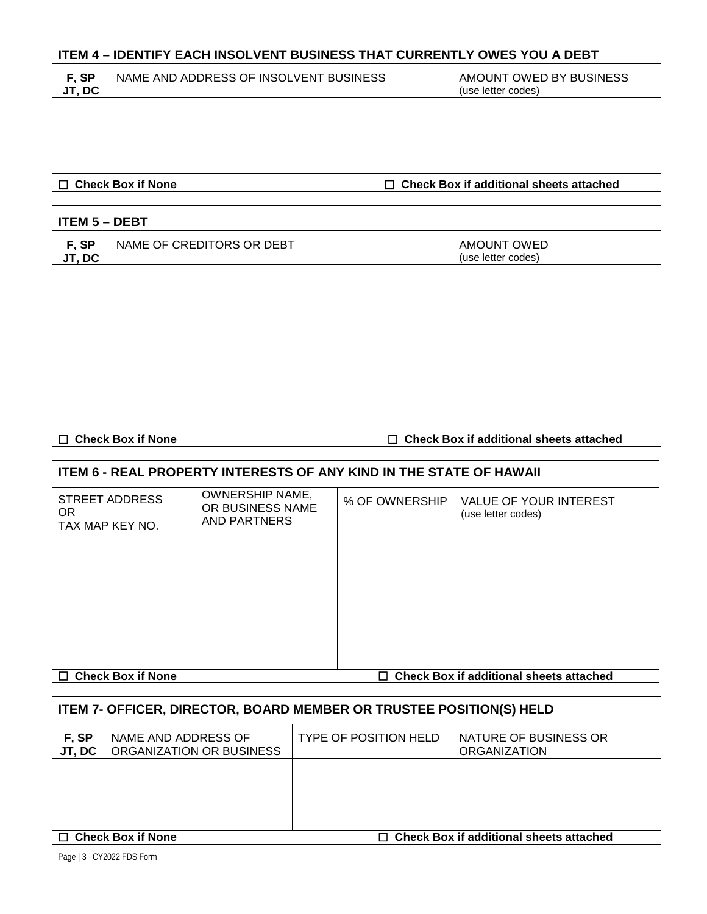| <b>ITEM 4 - IDENTIFY EACH INSOLVENT BUSINESS THAT CURRENTLY OWES YOU A DEBT</b> |                                        |  |                                               |  |
|---------------------------------------------------------------------------------|----------------------------------------|--|-----------------------------------------------|--|
| F, SP<br>JT, DC                                                                 | NAME AND ADDRESS OF INSOLVENT BUSINESS |  | AMOUNT OWED BY BUSINESS<br>(use letter codes) |  |
|                                                                                 |                                        |  |                                               |  |
|                                                                                 |                                        |  |                                               |  |
| $\Box$ Check Box if additional sheets attached<br><b>Check Box if None</b>      |                                        |  |                                               |  |

| <b>ITEM 5 - DEBT</b> |                           |  |                                                |
|----------------------|---------------------------|--|------------------------------------------------|
| F, SP<br>JT, DC      | NAME OF CREDITORS OR DEBT |  | <b>AMOUNT OWED</b><br>(use letter codes)       |
|                      |                           |  |                                                |
|                      |                           |  |                                                |
|                      |                           |  |                                                |
|                      |                           |  |                                                |
|                      |                           |  |                                                |
| $\Box$               | <b>Check Box if None</b>  |  | $\Box$ Check Box if additional sheets attached |

| <b>ITEM 6 - REAL PROPERTY INTERESTS OF ANY KIND IN THE STATE OF HAWAII</b>            |                                                                   |                |                                              |  |
|---------------------------------------------------------------------------------------|-------------------------------------------------------------------|----------------|----------------------------------------------|--|
| STREET ADDRESS<br>OR.<br>TAX MAP KEY NO.                                              | <b>OWNERSHIP NAME,</b><br>OR BUSINESS NAME<br><b>AND PARTNERS</b> | % OF OWNERSHIP | VALUE OF YOUR INTEREST<br>(use letter codes) |  |
|                                                                                       |                                                                   |                |                                              |  |
|                                                                                       |                                                                   |                |                                              |  |
|                                                                                       |                                                                   |                |                                              |  |
|                                                                                       |                                                                   |                |                                              |  |
| <b>Check Box if additional sheets attached</b><br><b>Check Box if None</b><br>П.<br>П |                                                                   |                |                                              |  |

| <b>ITEM 7- OFFICER, DIRECTOR, BOARD MEMBER OR TRUSTEE POSITION(S) HELD</b> |                                                 |                              |                                              |  |
|----------------------------------------------------------------------------|-------------------------------------------------|------------------------------|----------------------------------------------|--|
| F, SP<br>JT, DC                                                            | NAME AND ADDRESS OF<br>ORGANIZATION OR BUSINESS | <b>TYPE OF POSITION HELD</b> | NATURE OF BUSINESS OR<br><b>ORGANIZATION</b> |  |
|                                                                            |                                                 |                              |                                              |  |
|                                                                            |                                                 |                              |                                              |  |
| <b>Check Box if None</b><br>$\Box$ Check Box if additional sheets attached |                                                 |                              |                                              |  |